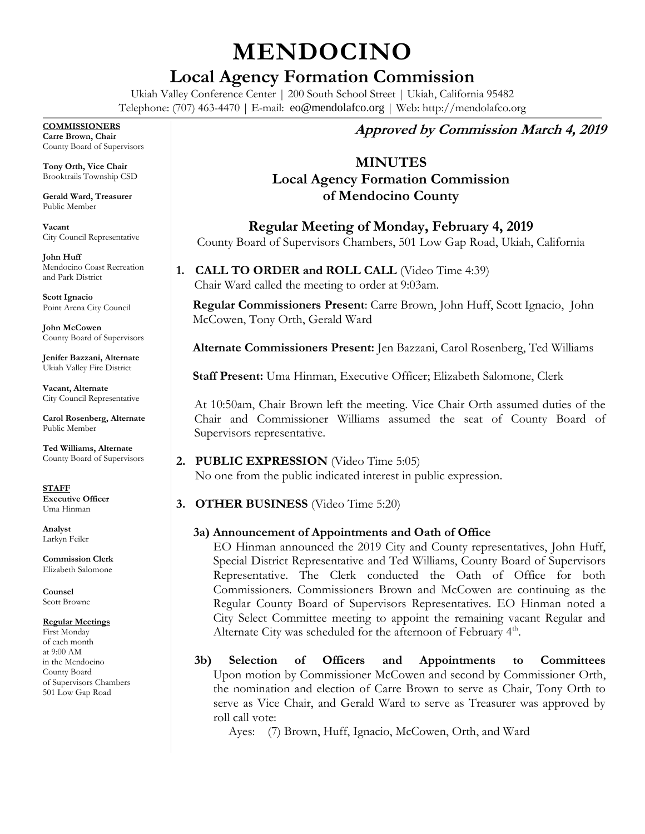# **MENDOCINO**

## **Local Agency Formation Commission**

Ukiah Valley Conference Center | 200 South School Street | Ukiah, California 95482 Telephone: (707) 463-4470 | E-mail: [eo@mendolafco.org](mailto:eo@mendolafco.org) | Web: http://mendolafco.org

#### **COMMISSIONERS**

**Carre Brown, Chair** County Board of Supervisors

**Tony Orth, Vice Chair** Brooktrails Township CSD

**Gerald Ward, Treasurer** Public Member

**Vacant** City Council Representative

**John Huff**  Mendocino Coast Recreation and Park District

**Scott Ignacio** Point Arena City Council

**John McCowen** County Board of Supervisors

**Jenifer Bazzani, Alternate** Ukiah Valley Fire District

**Vacant, Alternate** City Council Representative

**Carol Rosenberg, Alternate** Public Member

**Ted Williams, Alternate** County Board of Supervisors

**STAFF Executive Officer** Uma Hinman

**Analyst** Larkyn Feiler

**Commission Clerk** Elizabeth Salomone

**Counsel** Scott Browne

#### **Regular Meetings**

First Monday of each month at 9:00 AM in the Mendocino County Board of Supervisors Chambers 501 Low Gap Road

## **Approved by Commission March 4, 2019**

## **MINUTES**

## **Local Agency Formation Commission of Mendocino County**

**Regular Meeting of Monday, February 4, 2019** County Board of Supervisors Chambers, 501 Low Gap Road, Ukiah, California

**1. CALL TO ORDER and ROLL CALL** (Video Time 4:39) Chair Ward called the meeting to order at 9:03am.

**Regular Commissioners Present**: Carre Brown, John Huff, Scott Ignacio, John McCowen, Tony Orth, Gerald Ward

**Alternate Commissioners Present:** Jen Bazzani, Carol Rosenberg, Ted Williams

**Staff Present:** Uma Hinman, Executive Officer; Elizabeth Salomone, Clerk

At 10:50am, Chair Brown left the meeting. Vice Chair Orth assumed duties of the Chair and Commissioner Williams assumed the seat of County Board of Supervisors representative.

- **2. PUBLIC EXPRESSION** (Video Time 5:05) No one from the public indicated interest in public expression.
- **3. OTHER BUSINESS** (Video Time 5:20)

#### **3a) Announcement of Appointments and Oath of Office**

EO Hinman announced the 2019 City and County representatives, John Huff, Special District Representative and Ted Williams, County Board of Supervisors Representative. The Clerk conducted the Oath of Office for both Commissioners. Commissioners Brown and McCowen are continuing as the Regular County Board of Supervisors Representatives. EO Hinman noted a City Select Committee meeting to appoint the remaining vacant Regular and Alternate City was scheduled for the afternoon of February 4<sup>th</sup>.

**3b) Selection of Officers and Appointments to Committees** Upon motion by Commissioner McCowen and second by Commissioner Orth, the nomination and election of Carre Brown to serve as Chair, Tony Orth to serve as Vice Chair, and Gerald Ward to serve as Treasurer was approved by roll call vote:

Ayes: (7) Brown, Huff, Ignacio, McCowen, Orth, and Ward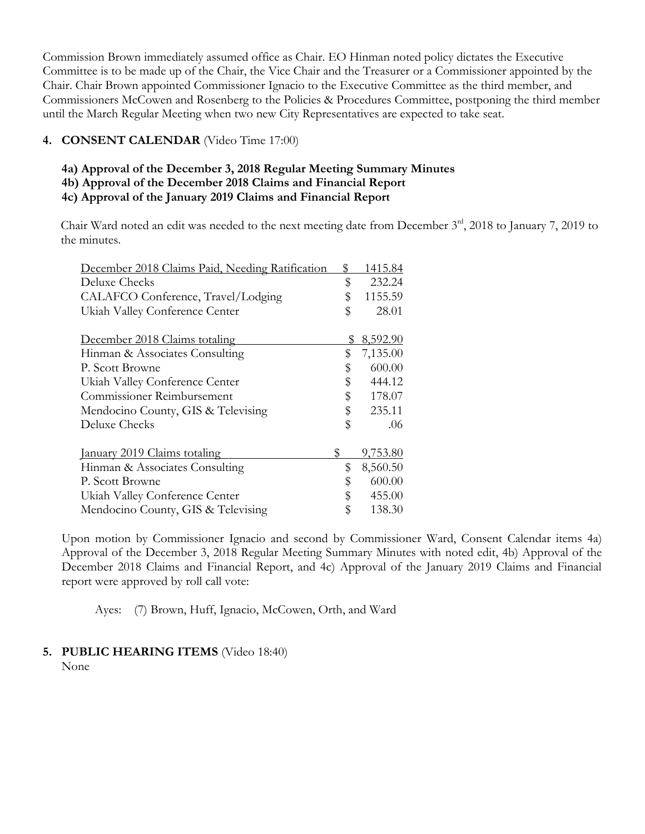Commission Brown immediately assumed office as Chair. EO Hinman noted policy dictates the Executive Committee is to be made up of the Chair, the Vice Chair and the Treasurer or a Commissioner appointed by the Chair. Chair Brown appointed Commissioner Ignacio to the Executive Committee as the third member, and Commissioners McCowen and Rosenberg to the Policies & Procedures Committee, postponing the third member until the March Regular Meeting when two new City Representatives are expected to take seat.

#### **4. CONSENT CALENDAR** (Video Time 17:00)

- **4a) Approval of the December 3, 2018 Regular Meeting Summary Minutes**
- **4b) Approval of the December 2018 Claims and Financial Report**
- **4c) Approval of the January 2019 Claims and Financial Report**

Chair Ward noted an edit was needed to the next meeting date from December 3<sup>rd</sup>, 2018 to January 7, 2019 to the minutes.

| December 2018 Claims Paid, Needing Ratification |    | 1415.84  |
|-------------------------------------------------|----|----------|
| Deluxe Checks                                   | \$ | 232.24   |
| CALAFCO Conference, Travel/Lodging              | \$ | 1155.59  |
| Ukiah Valley Conference Center                  | \$ | 28.01    |
| December 2018 Claims totaling                   | \$ | 8,592.90 |
| Hinman & Associates Consulting                  | \$ | 7,135.00 |
| P. Scott Browne                                 | \$ | 600.00   |
| Ukiah Valley Conference Center                  | \$ | 444.12   |
| Commissioner Reimbursement                      | \$ | 178.07   |
| Mendocino County, GIS & Televising              | \$ | 235.11   |
| <b>Deluxe Checks</b>                            | \$ | .06      |
| January 2019 Claims totaling                    | S  | 9,753.80 |
| Hinman & Associates Consulting                  | \$ | 8,560.50 |
| P. Scott Browne                                 | \$ | 600.00   |
| Ukiah Valley Conference Center                  | \$ | 455.00   |
| Mendocino County, GIS & Televising              | \$ | 138.30   |

Upon motion by Commissioner Ignacio and second by Commissioner Ward, Consent Calendar items 4a) Approval of the December 3, 2018 Regular Meeting Summary Minutes with noted edit, 4b) Approval of the December 2018 Claims and Financial Report, and 4c) Approval of the January 2019 Claims and Financial report were approved by roll call vote:

Ayes: (7) Brown, Huff, Ignacio, McCowen, Orth, and Ward

#### **5. PUBLIC HEARING ITEMS** (Video 18:40)

None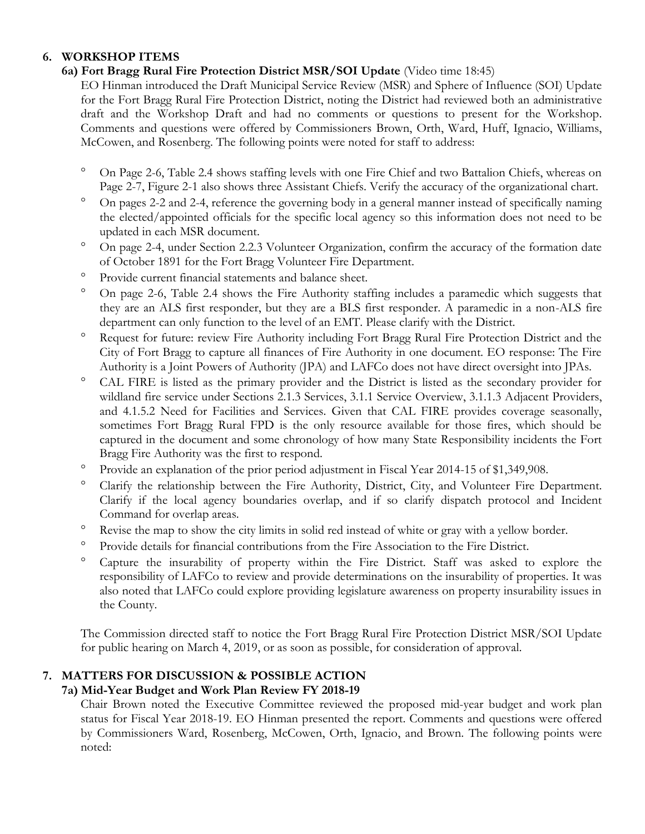#### **6. WORKSHOP ITEMS**

### **6a) Fort Bragg Rural Fire Protection District MSR/SOI Update** (Video time 18:45)

EO Hinman introduced the Draft Municipal Service Review (MSR) and Sphere of Influence (SOI) Update for the Fort Bragg Rural Fire Protection District, noting the District had reviewed both an administrative draft and the Workshop Draft and had no comments or questions to present for the Workshop. Comments and questions were offered by Commissioners Brown, Orth, Ward, Huff, Ignacio, Williams, McCowen, and Rosenberg. The following points were noted for staff to address:

- On Page 2-6, Table 2.4 shows staffing levels with one Fire Chief and two Battalion Chiefs, whereas on Page 2-7, Figure 2-1 also shows three Assistant Chiefs. Verify the accuracy of the organizational chart.
- <sup>o</sup> On pages 2-2 and 2-4, reference the governing body in a general manner instead of specifically naming the elected/appointed officials for the specific local agency so this information does not need to be updated in each MSR document.
- <sup>o</sup> On page 2-4, under Section 2.2.3 Volunteer Organization, confirm the accuracy of the formation date of October 1891 for the Fort Bragg Volunteer Fire Department.
- Provide current financial statements and balance sheet.
- <sup>o</sup> On page 2-6, Table 2.4 shows the Fire Authority staffing includes a paramedic which suggests that they are an ALS first responder, but they are a BLS first responder. A paramedic in a non-ALS fire department can only function to the level of an EMT. Please clarify with the District.
- Request for future: review Fire Authority including Fort Bragg Rural Fire Protection District and the City of Fort Bragg to capture all finances of Fire Authority in one document. EO response: The Fire Authority is a Joint Powers of Authority (JPA) and LAFCo does not have direct oversight into JPAs.
- CAL FIRE is listed as the primary provider and the District is listed as the secondary provider for wildland fire service under Sections 2.1.3 Services, 3.1.1 Service Overview, 3.1.1.3 Adjacent Providers, and 4.1.5.2 Need for Facilities and Services. Given that CAL FIRE provides coverage seasonally, sometimes Fort Bragg Rural FPD is the only resource available for those fires, which should be captured in the document and some chronology of how many State Responsibility incidents the Fort Bragg Fire Authority was the first to respond.
- <sup>o</sup> Provide an explanation of the prior period adjustment in Fiscal Year 2014-15 of \$1,349,908.
- <sup>o</sup> Clarify the relationship between the Fire Authority, District, City, and Volunteer Fire Department. Clarify if the local agency boundaries overlap, and if so clarify dispatch protocol and Incident Command for overlap areas.
- <sup>o</sup> Revise the map to show the city limits in solid red instead of white or gray with a yellow border.
- Provide details for financial contributions from the Fire Association to the Fire District.
- <sup>o</sup> Capture the insurability of property within the Fire District. Staff was asked to explore the responsibility of LAFCo to review and provide determinations on the insurability of properties. It was also noted that LAFCo could explore providing legislature awareness on property insurability issues in the County.

The Commission directed staff to notice the Fort Bragg Rural Fire Protection District MSR/SOI Update for public hearing on March 4, 2019, or as soon as possible, for consideration of approval.

## **7. MATTERS FOR DISCUSSION & POSSIBLE ACTION**

#### **7a) Mid-Year Budget and Work Plan Review FY 2018-19**

Chair Brown noted the Executive Committee reviewed the proposed mid-year budget and work plan status for Fiscal Year 2018-19. EO Hinman presented the report. Comments and questions were offered by Commissioners Ward, Rosenberg, McCowen, Orth, Ignacio, and Brown. The following points were noted: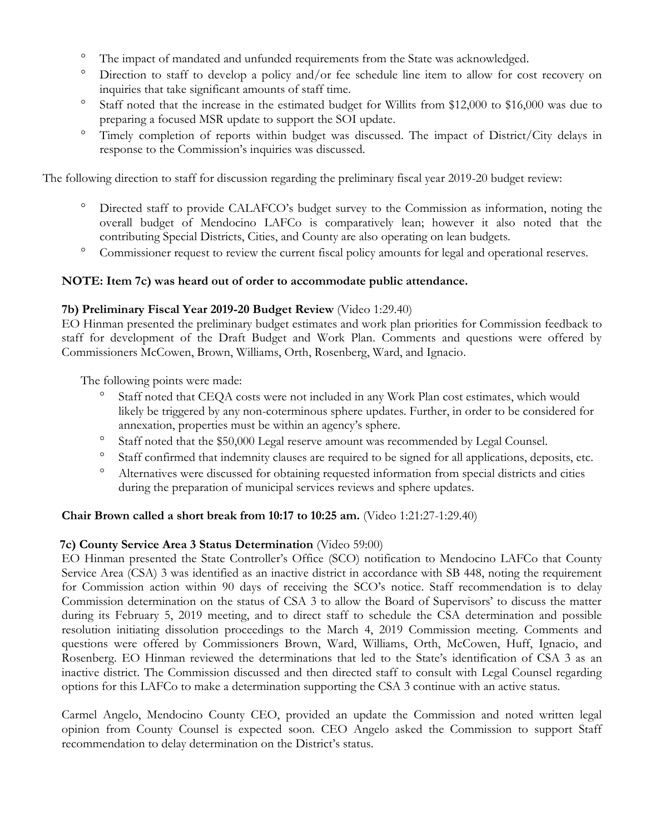- <sup>o</sup> The impact of mandated and unfunded requirements from the State was acknowledged.
- <sup>o</sup> Direction to staff to develop a policy and/or fee schedule line item to allow for cost recovery on inquiries that take significant amounts of staff time.
- <sup>o</sup> Staff noted that the increase in the estimated budget for Willits from \$12,000 to \$16,000 was due to preparing a focused MSR update to support the SOI update.
- <sup>o</sup> Timely completion of reports within budget was discussed. The impact of District/City delays in response to the Commission's inquiries was discussed.

The following direction to staff for discussion regarding the preliminary fiscal year 2019-20 budget review:

- Directed staff to provide CALAFCO's budget survey to the Commission as information, noting the overall budget of Mendocino LAFCo is comparatively lean; however it also noted that the contributing Special Districts, Cities, and County are also operating on lean budgets.
- <sup>o</sup> Commissioner request to review the current fiscal policy amounts for legal and operational reserves.

#### **NOTE: Item 7c) was heard out of order to accommodate public attendance.**

#### **7b) Preliminary Fiscal Year 2019-20 Budget Review** (Video 1:29.40)

EO Hinman presented the preliminary budget estimates and work plan priorities for Commission feedback to staff for development of the Draft Budget and Work Plan. Comments and questions were offered by Commissioners McCowen, Brown, Williams, Orth, Rosenberg, Ward, and Ignacio.

The following points were made:

- Staff noted that CEQA costs were not included in any Work Plan cost estimates, which would likely be triggered by any non-coterminous sphere updates. Further, in order to be considered for annexation, properties must be within an agency's sphere.
- Staff noted that the \$50,000 Legal reserve amount was recommended by Legal Counsel.
- <sup>o</sup> Staff confirmed that indemnity clauses are required to be signed for all applications, deposits, etc.
- Alternatives were discussed for obtaining requested information from special districts and cities during the preparation of municipal services reviews and sphere updates.

#### **Chair Brown called a short break from 10:17 to 10:25 am.** (Video 1:21:27-1:29.40)

#### **7c) County Service Area 3 Status Determination** (Video 59:00)

EO Hinman presented the State Controller's Office (SCO) notification to Mendocino LAFCo that County Service Area (CSA) 3 was identified as an inactive district in accordance with SB 448, noting the requirement for Commission action within 90 days of receiving the SCO's notice. Staff recommendation is to delay Commission determination on the status of CSA 3 to allow the Board of Supervisors' to discuss the matter during its February 5, 2019 meeting, and to direct staff to schedule the CSA determination and possible resolution initiating dissolution proceedings to the March 4, 2019 Commission meeting. Comments and questions were offered by Commissioners Brown, Ward, Williams, Orth, McCowen, Huff, Ignacio, and Rosenberg. EO Hinman reviewed the determinations that led to the State's identification of CSA 3 as an inactive district. The Commission discussed and then directed staff to consult with Legal Counsel regarding options for this LAFCo to make a determination supporting the CSA 3 continue with an active status.

Carmel Angelo, Mendocino County CEO, provided an update the Commission and noted written legal opinion from County Counsel is expected soon. CEO Angelo asked the Commission to support Staff recommendation to delay determination on the District's status.